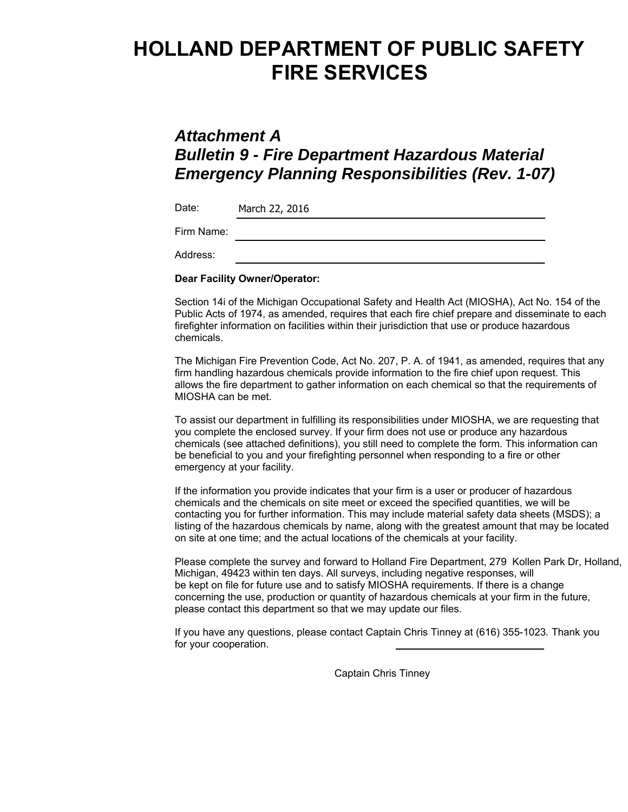# **HOLLAND DEPARTMENT OF PUBLIC SAFETY FIRE SERVICES**

### *Attachment A Bulletin 9 - Fire Department Hazardous Material Emergency Planning Responsibilities (Rev. 1-07)*

| Date:      | March 22, 2016 |
|------------|----------------|
| Firm Name: |                |
| Address:   |                |

#### **Dear Facility Owner/Operator:**

Section 14i of the Michigan Occupational Safety and Health Act (MIOSHA), Act No. 154 of the Public Acts of 1974, as amended, requires that each fire chief prepare and disseminate to each firefighter information on facilities within their jurisdiction that use or produce hazardous chemicals.

The Michigan Fire Prevention Code, Act No. 207, P. A. of 1941, as amended, requires that any firm handling hazardous chemicals provide information to the fire chief upon request. This allows the fire department to gather information on each chemical so that the requirements of MIOSHA can be met.

To assist our department in fulfilling its responsibilities under MIOSHA, we are requesting that you complete the enclosed survey. If your firm does not use or produce any hazardous chemicals (see attached definitions), you still need to complete the form. This information can be beneficial to you and your firefighting personnel when responding to a fire or other emergency at your facility.

If the information you provide indicates that your firm is a user or producer of hazardous chemicals and the chemicals on site meet or exceed the specified quantities, we will be contacting you for further information. This may include material safety data sheets (MSDS); a listing of the hazardous chemicals by name, along with the greatest amount that may be located on site at one time; and the actual locations of the chemicals at your facility.

Please complete the survey and forward to Holland Fire Department, 279 Kollen Park Dr, Holland, Michigan, 49423 within ten days. All surveys, including negative responses, will be kept on file for future use and to satisfy MIOSHA requirements. If there is a change concerning the use, production or quantity of hazardous chemicals at your firm in the future, please contact this department so that we may update our files.

If you have any questions, please contact Captain Chris Tinney at (616) 355-1023*.* Thank you for your cooperation.

Captain Chris Tinney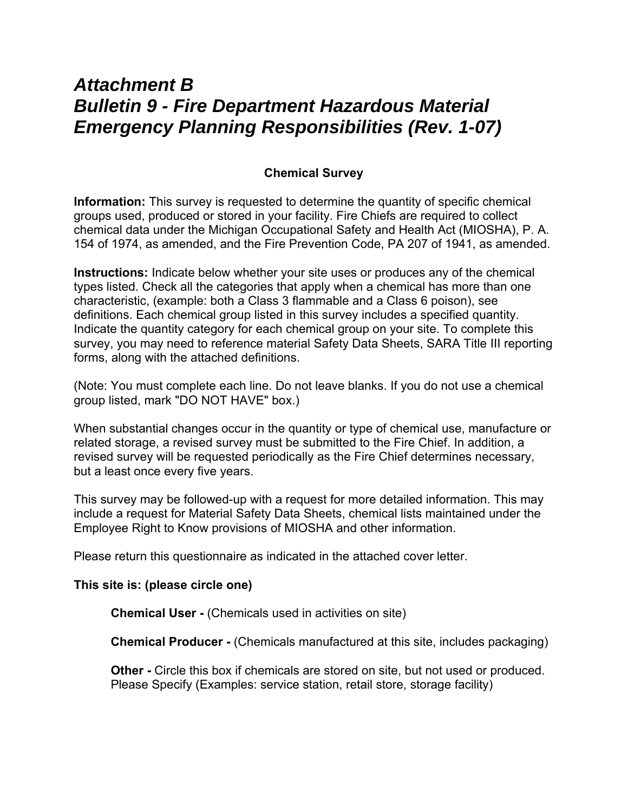## *Attachment B Bulletin 9 - Fire Department Hazardous Material Emergency Planning Responsibilities (Rev. 1-07)*

### **Chemical Survey**

**Information:** This survey is requested to determine the quantity of specific chemical groups used, produced or stored in your facility. Fire Chiefs are required to collect chemical data under the Michigan Occupational Safety and Health Act (MIOSHA), P. A. 154 of 1974, as amended, and the Fire Prevention Code, PA 207 of 1941, as amended.

**Instructions:** Indicate below whether your site uses or produces any of the chemical types listed. Check all the categories that apply when a chemical has more than one characteristic, (example: both a Class 3 flammable and a Class 6 poison), see definitions. Each chemical group listed in this survey includes a specified quantity. Indicate the quantity category for each chemical group on your site. To complete this survey, you may need to reference material Safety Data Sheets, SARA Title III reporting forms, along with the attached definitions.

(Note: You must complete each line. Do not leave blanks. If you do not use a chemical group listed, mark "DO NOT HAVE" box.)

When substantial changes occur in the quantity or type of chemical use, manufacture or related storage, a revised survey must be submitted to the Fire Chief. In addition, a revised survey will be requested periodically as the Fire Chief determines necessary, but a least once every five years.

This survey may be followed-up with a request for more detailed information. This may include a request for Material Safety Data Sheets, chemical lists maintained under the Employee Right to Know provisions of MIOSHA and other information.

Please return this questionnaire as indicated in the attached cover letter.

### **This site is: (please circle one)**

**Chemical User -** (Chemicals used in activities on site)

**Chemical Producer -** (Chemicals manufactured at this site, includes packaging)

**Other -** Circle this box if chemicals are stored on site, but not used or produced. Please Specify (Examples: service station, retail store, storage facility)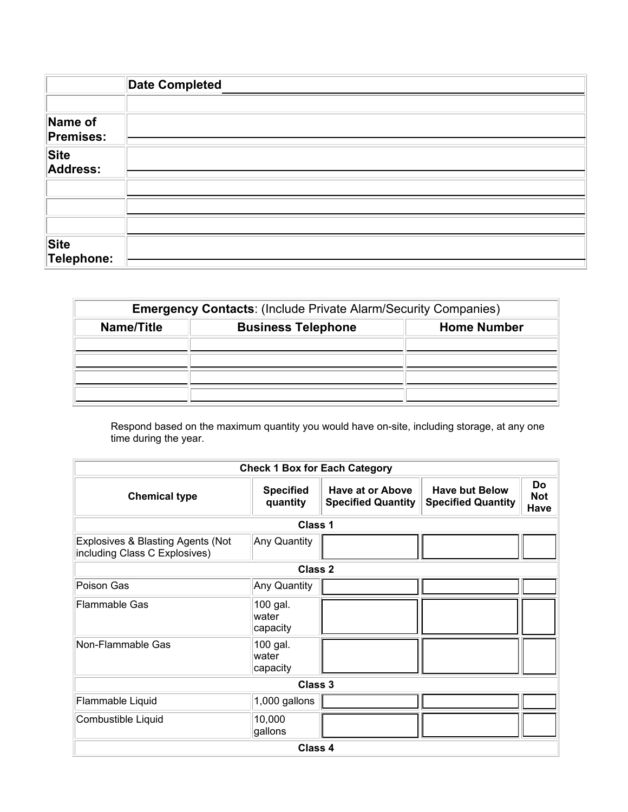|                      | <b>Date Completed</b> |
|----------------------|-----------------------|
| Name of<br>Premises: |                       |
| Site<br>Address:     |                       |
|                      |                       |
|                      |                       |
| Site<br>Telephone:   |                       |

| <b>Emergency Contacts: (Include Private Alarm/Security Companies)</b> |                           |                    |  |  |  |
|-----------------------------------------------------------------------|---------------------------|--------------------|--|--|--|
| Name/Title                                                            | <b>Business Telephone</b> | <b>Home Number</b> |  |  |  |
|                                                                       |                           |                    |  |  |  |
|                                                                       |                           |                    |  |  |  |
|                                                                       |                           |                    |  |  |  |
|                                                                       |                           |                    |  |  |  |

Respond based on the maximum quantity you would have on-site, including storage, at any one time during the year.

| <b>Check 1 Box for Each Category</b>                               |                                |                                               |                                                    |                          |  |  |  |  |
|--------------------------------------------------------------------|--------------------------------|-----------------------------------------------|----------------------------------------------------|--------------------------|--|--|--|--|
| <b>Chemical type</b>                                               | <b>Specified</b><br>quantity   | Have at or Above<br><b>Specified Quantity</b> | <b>Have but Below</b><br><b>Specified Quantity</b> | Do<br><b>Not</b><br>Have |  |  |  |  |
| <b>Class 1</b>                                                     |                                |                                               |                                                    |                          |  |  |  |  |
| Explosives & Blasting Agents (Not<br>including Class C Explosives) | Any Quantity                   |                                               |                                                    |                          |  |  |  |  |
| Class 2                                                            |                                |                                               |                                                    |                          |  |  |  |  |
| Poison Gas                                                         | Any Quantity                   |                                               |                                                    |                          |  |  |  |  |
| <b>Flammable Gas</b>                                               | 100 gal.<br>water<br>capacity  |                                               |                                                    |                          |  |  |  |  |
| Non-Flammable Gas                                                  | 100 gal.<br>lwater<br>capacity |                                               |                                                    |                          |  |  |  |  |
| Class 3                                                            |                                |                                               |                                                    |                          |  |  |  |  |
| Flammable Liquid                                                   | 1,000 gallons                  |                                               |                                                    |                          |  |  |  |  |
| Combustible Liquid                                                 | 10,000<br>gallons              |                                               |                                                    |                          |  |  |  |  |
| Class 4                                                            |                                |                                               |                                                    |                          |  |  |  |  |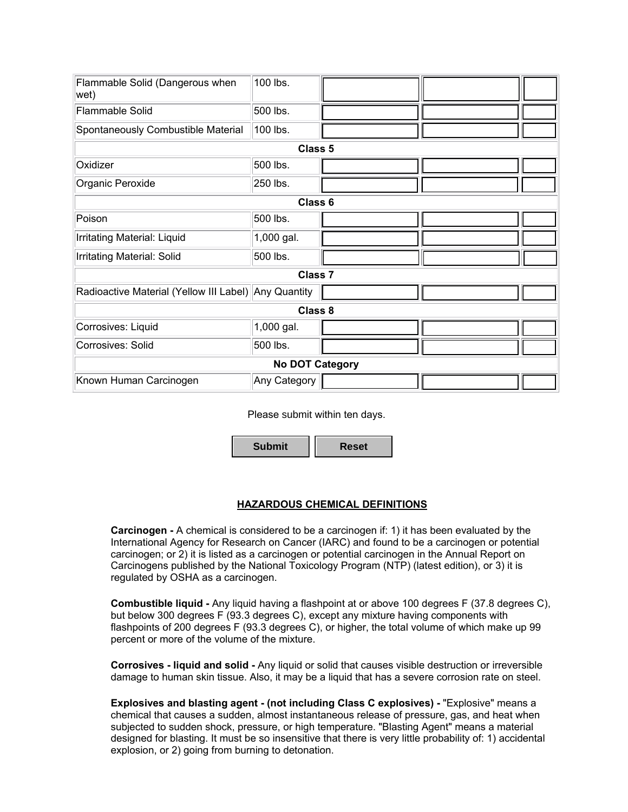| Flammable Solid (Dangerous when<br>wet)              | 100 lbs.     |  |  |  |  |  |  |
|------------------------------------------------------|--------------|--|--|--|--|--|--|
| <b>Flammable Solid</b>                               | 500 lbs.     |  |  |  |  |  |  |
| Spontaneously Combustible Material                   | 100 lbs.     |  |  |  |  |  |  |
| <b>Class 5</b>                                       |              |  |  |  |  |  |  |
| Oxidizer                                             | 500 lbs.     |  |  |  |  |  |  |
| Organic Peroxide                                     | 250 lbs.     |  |  |  |  |  |  |
| Class 6                                              |              |  |  |  |  |  |  |
| Poison                                               | 500 lbs.     |  |  |  |  |  |  |
| Irritating Material: Liquid                          | 1,000 gal.   |  |  |  |  |  |  |
| Irritating Material: Solid                           | 500 lbs.     |  |  |  |  |  |  |
| Class <sub>7</sub>                                   |              |  |  |  |  |  |  |
| Radioactive Material (Yellow III Label) Any Quantity |              |  |  |  |  |  |  |
| Class 8                                              |              |  |  |  |  |  |  |
| Corrosives: Liquid                                   | 1,000 gal.   |  |  |  |  |  |  |
| Corrosives: Solid                                    | 500 lbs.     |  |  |  |  |  |  |
| <b>No DOT Category</b>                               |              |  |  |  |  |  |  |
| Known Human Carcinogen                               | Any Category |  |  |  |  |  |  |

Please submit within ten days.

**Submit Reset**

### **HAZARDOUS CHEMICAL DEFINITIONS**

**Carcinogen -** A chemical is considered to be a carcinogen if: 1) it has been evaluated by the International Agency for Research on Cancer (IARC) and found to be a carcinogen or potential carcinogen; or 2) it is listed as a carcinogen or potential carcinogen in the Annual Report on Carcinogens published by the National Toxicology Program (NTP) (latest edition), or 3) it is regulated by OSHA as a carcinogen.

**Combustible liquid -** Any liquid having a flashpoint at or above 100 degrees F (37.8 degrees C), but below 300 degrees F (93.3 degrees C), except any mixture having components with flashpoints of 200 degrees F (93.3 degrees C), or higher, the total volume of which make up 99 percent or more of the volume of the mixture.

**Corrosives - liquid and solid -** Any liquid or solid that causes visible destruction or irreversible damage to human skin tissue. Also, it may be a liquid that has a severe corrosion rate on steel.

**Explosives and blasting agent - (not including Class C explosives) -** "Explosive" means a chemical that causes a sudden, almost instantaneous release of pressure, gas, and heat when subjected to sudden shock, pressure, or high temperature. "Blasting Agent" means a material designed for blasting. It must be so insensitive that there is very little probability of: 1) accidental explosion, or 2) going from burning to detonation.